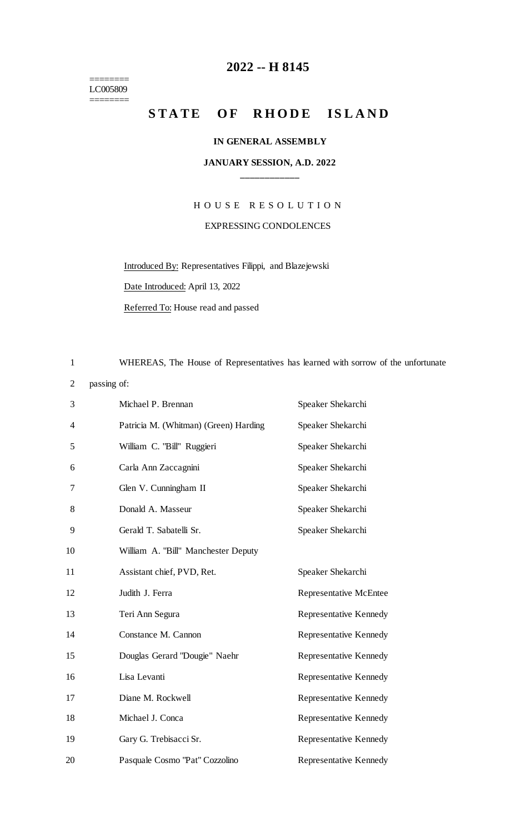======== LC005809

 $=$ 

### **-- H 8145**

## **STATE OF RHODE ISLAND**

#### **IN GENERAL ASSEMBLY**

#### **JANUARY SESSION, A.D. 2022 \_\_\_\_\_\_\_\_\_\_\_\_**

# H O U S E R E S O L U T I O N EXPRESSING CONDOLENCES

Introduced By: Representatives Filippi, and Blazejewski

Date Introduced: April 13, 2022

Referred To: House read and passed

WHEREAS, The House of Representatives has learned with sorrow of the unfortunate

passing of:

| 3  | Michael P. Brennan                    | Speaker Shekarchi             |
|----|---------------------------------------|-------------------------------|
| 4  | Patricia M. (Whitman) (Green) Harding | Speaker Shekarchi             |
| 5  | William C. "Bill" Ruggieri            | Speaker Shekarchi             |
| 6  | Carla Ann Zaccagnini                  | Speaker Shekarchi             |
| 7  | Glen V. Cunningham II                 | Speaker Shekarchi             |
| 8  | Donald A. Masseur                     | Speaker Shekarchi             |
| 9  | Gerald T. Sabatelli Sr.               | Speaker Shekarchi             |
| 10 | William A. "Bill" Manchester Deputy   |                               |
| 11 | Assistant chief, PVD, Ret.            | Speaker Shekarchi             |
| 12 | Judith J. Ferra                       | <b>Representative McEntee</b> |
| 13 | Teri Ann Segura                       | Representative Kennedy        |
| 14 | Constance M. Cannon                   | Representative Kennedy        |
| 15 | Douglas Gerard "Dougie" Naehr         | Representative Kennedy        |
| 16 | Lisa Levanti                          | Representative Kennedy        |
| 17 | Diane M. Rockwell                     | Representative Kennedy        |
| 18 | Michael J. Conca                      | Representative Kennedy        |
| 19 | Gary G. Trebisacci Sr.                | Representative Kennedy        |
| 20 | Pasquale Cosmo "Pat" Cozzolino        | Representative Kennedy        |